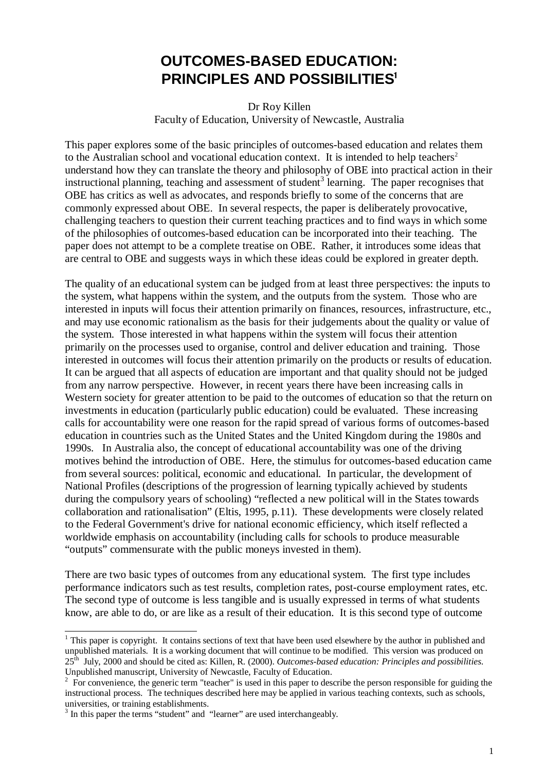# **OUTCOMES-BASED EDUCATION: PRINCIPLES AND POSSIBILITIES**

#### Dr Roy Killen Faculty of Education, University of Newcastle, Australia

This paper explores some of the basic principles of outcomes-based education and relates them to the Australian school and vocational education context. It is intended to help teachers<sup>2</sup> understand how they can translate the theory and philosophy of OBE into practical action in their instructional planning, teaching and assessment of student<sup>3</sup> learning. The paper recognises that OBE has critics as well as advocates, and responds briefly to some of the concerns that are commonly expressed about OBE. In several respects, the paper is deliberately provocative, challenging teachers to question their current teaching practices and to find ways in which some of the philosophies of outcomes-based education can be incorporated into their teaching. The paper does not attempt to be a complete treatise on OBE. Rather, it introduces some ideas that are central to OBE and suggests ways in which these ideas could be explored in greater depth.

The quality of an educational system can be judged from at least three perspectives: the inputs to the system, what happens within the system, and the outputs from the system. Those who are interested in inputs will focus their attention primarily on finances, resources, infrastructure, etc., and may use economic rationalism as the basis for their judgements about the quality or value of the system. Those interested in what happens within the system will focus their attention primarily on the processes used to organise, control and deliver education and training. Those interested in outcomes will focus their attention primarily on the products or results of education. It can be argued that all aspects of education are important and that quality should not be judged from any narrow perspective. However, in recent years there have been increasing calls in Western society for greater attention to be paid to the outcomes of education so that the return on investments in education (particularly public education) could be evaluated. These increasing calls for accountability were one reason for the rapid spread of various forms of outcomes-based education in countries such as the United States and the United Kingdom during the 1980s and 1990s. In Australia also, the concept of educational accountability was one of the driving motives behind the introduction of OBE. Here, the stimulus for outcomes-based education came from several sources: political, economic and educational. In particular, the development of National Profiles (descriptions of the progression of learning typically achieved by students during the compulsory years of schooling) "reflected a new political will in the States towards collaboration and rationalisation" (Eltis, 1995, p.11). These developments were closely related to the Federal Government's drive for national economic efficiency, which itself reflected a worldwide emphasis on accountability (including calls for schools to produce measurable "outputs" commensurate with the public moneys invested in them).

There are two basic types of outcomes from any educational system. The first type includes performance indicators such as test results, completion rates, post-course employment rates, etc. The second type of outcome is less tangible and is usually expressed in terms of what students know, are able to do, or are like as a result of their education. It is this second type of outcome

<sup>&</sup>lt;sup>1</sup> This paper is copyright. It contains sections of text that have been used elsewhere by the author in published and unpublished materials. It is a working document that will continue to be modified. This version was produced on 25th July, 2000 and should be cited as: Killen, R. (2000). *Outcomes-based education: Principles and possibilities.* Unpublished manuscript, University of Newcastle, Faculty of Education.

 $2^2$  For convenience, the generic term "teacher" is used in this paper to describe the person responsible for guiding the instructional process. The techniques described here may be applied in various teaching contexts, such as schools, universities, or training establishments.

<sup>&</sup>lt;sup>3</sup> In this paper the terms "student" and "learner" are used interchangeably.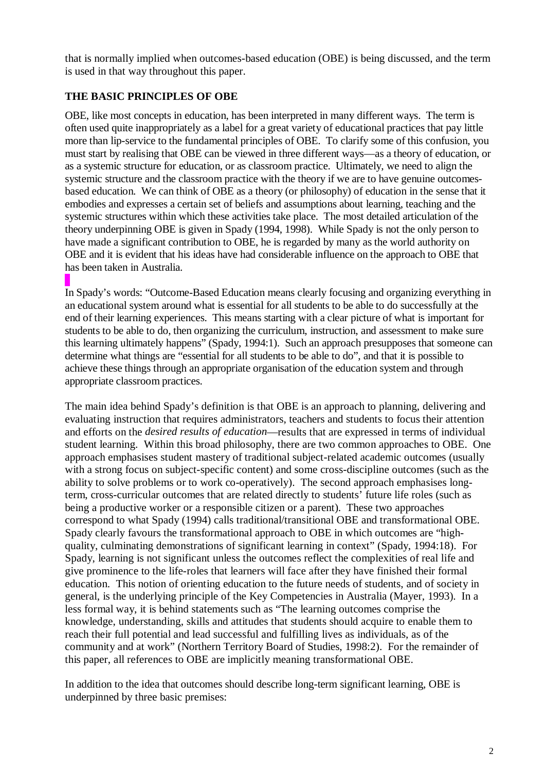that is normally implied when outcomes-based education (OBE) is being discussed, and the term is used in that way throughout this paper.

## **THE BASIC PRINCIPLES OF OBE**

OBE, like most concepts in education, has been interpreted in many different ways. The term is often used quite inappropriately as a label for a great variety of educational practices that pay little more than lip-service to the fundamental principles of OBE. To clarify some of this confusion, you must start by realising that OBE can be viewed in three different ways—as a theory of education, or as a systemic structure for education, or as classroom practice. Ultimately, we need to align the systemic structure and the classroom practice with the theory if we are to have genuine outcomesbased education. We can think of OBE as a theory (or philosophy) of education in the sense that it embodies and expresses a certain set of beliefs and assumptions about learning, teaching and the systemic structures within which these activities take place. The most detailed articulation of the theory underpinning OBE is given in Spady (1994, 1998). While Spady is not the only person to have made a significant contribution to OBE, he is regarded by many as the world authority on OBE and it is evident that his ideas have had considerable influence on the approach to OBE that has been taken in Australia.

In Spady's words: "Outcome-Based Education means clearly focusing and organizing everything in an educational system around what is essential for all students to be able to do successfully at the end of their learning experiences. This means starting with a clear picture of what is important for students to be able to do, then organizing the curriculum, instruction, and assessment to make sure this learning ultimately happens" (Spady, 1994:1). Such an approach presupposes that someone can determine what things are "essential for all students to be able to do", and that it is possible to achieve these things through an appropriate organisation of the education system and through appropriate classroom practices.

The main idea behind Spady's definition is that OBE is an approach to planning, delivering and evaluating instruction that requires administrators, teachers and students to focus their attention and efforts on the *desired results of education*—results that are expressed in terms of individual student learning. Within this broad philosophy, there are two common approaches to OBE. One approach emphasises student mastery of traditional subject-related academic outcomes (usually with a strong focus on subject-specific content) and some cross-discipline outcomes (such as the ability to solve problems or to work co-operatively). The second approach emphasises longterm, cross-curricular outcomes that are related directly to students' future life roles (such as being a productive worker or a responsible citizen or a parent). These two approaches correspond to what Spady (1994) calls traditional/transitional OBE and transformational OBE. Spady clearly favours the transformational approach to OBE in which outcomes are "highquality, culminating demonstrations of significant learning in context" (Spady, 1994:18). For Spady, learning is not significant unless the outcomes reflect the complexities of real life and give prominence to the life-roles that learners will face after they have finished their formal education. This notion of orienting education to the future needs of students, and of society in general, is the underlying principle of the Key Competencies in Australia (Mayer, 1993). In a less formal way, it is behind statements such as "The learning outcomes comprise the knowledge, understanding, skills and attitudes that students should acquire to enable them to reach their full potential and lead successful and fulfilling lives as individuals, as of the community and at work" (Northern Territory Board of Studies, 1998:2). For the remainder of this paper, all references to OBE are implicitly meaning transformational OBE.

In addition to the idea that outcomes should describe long-term significant learning, OBE is underpinned by three basic premises: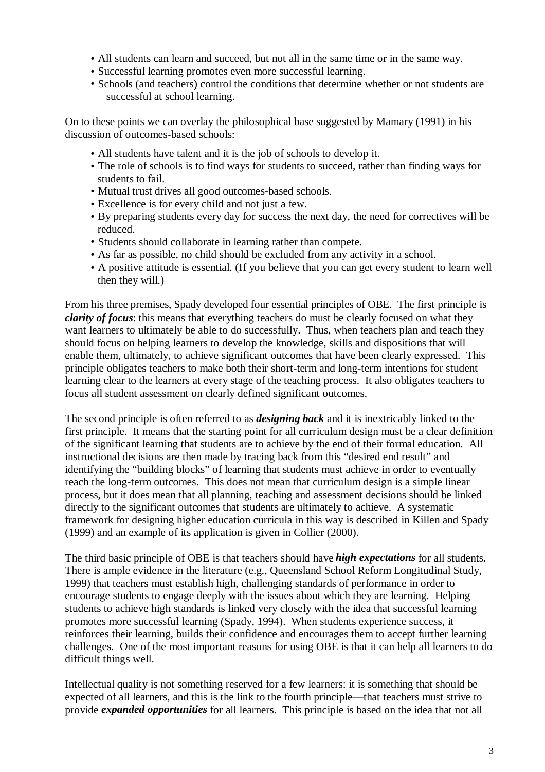- All students can learn and succeed, but not all in the same time or in the same way.
- Successful learning promotes even more successful learning.
- Schools (and teachers) control the conditions that determine whether or not students are successful at school learning.

On to these points we can overlay the philosophical base suggested by Mamary (1991) in his discussion of outcomes-based schools:

- All students have talent and it is the job of schools to develop it.
- The role of schools is to find ways for students to succeed, rather than finding ways for students to fail.
- Mutual trust drives all good outcomes-based schools.
- Excellence is for every child and not just a few.
- By preparing students every day for success the next day, the need for correctives will be reduced.
- Students should collaborate in learning rather than compete.
- As far as possible, no child should be excluded from any activity in a school.
- A positive attitude is essential. (If you believe that you can get every student to learn well then they will.)

From his three premises, Spady developed four essential principles of OBE. The first principle is *clarity of focus*: this means that everything teachers do must be clearly focused on what they want learners to ultimately be able to do successfully. Thus, when teachers plan and teach they should focus on helping learners to develop the knowledge, skills and dispositions that will enable them, ultimately, to achieve significant outcomes that have been clearly expressed. This principle obligates teachers to make both their short-term and long-term intentions for student learning clear to the learners at every stage of the teaching process. It also obligates teachers to focus all student assessment on clearly defined significant outcomes.

The second principle is often referred to as *designing back* and it is inextricably linked to the first principle. It means that the starting point for all curriculum design must be a clear definition of the significant learning that students are to achieve by the end of their formal education. All instructional decisions are then made by tracing back from this "desired end result" and identifying the "building blocks" of learning that students must achieve in order to eventually reach the long-term outcomes. This does not mean that curriculum design is a simple linear process, but it does mean that all planning, teaching and assessment decisions should be linked directly to the significant outcomes that students are ultimately to achieve. A systematic framework for designing higher education curricula in this way is described in Killen and Spady (1999) and an example of its application is given in Collier (2000).

The third basic principle of OBE is that teachers should have *high expectations* for all students. There is ample evidence in the literature (e.g., Queensland School Reform Longitudinal Study, 1999) that teachers must establish high, challenging standards of performance in order to encourage students to engage deeply with the issues about which they are learning. Helping students to achieve high standards is linked very closely with the idea that successful learning promotes more successful learning (Spady, 1994). When students experience success, it reinforces their learning, builds their confidence and encourages them to accept further learning challenges. One of the most important reasons for using OBE is that it can help all learners to do difficult things well.

Intellectual quality is not something reserved for a few learners: it is something that should be expected of all learners, and this is the link to the fourth principle—that teachers must strive to provide *expanded opportunities* for all learners. This principle is based on the idea that not all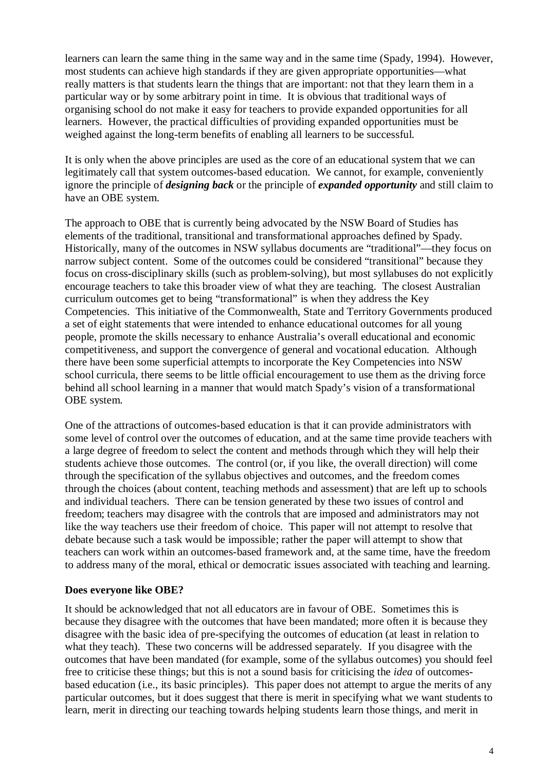learners can learn the same thing in the same way and in the same time (Spady, 1994). However, most students can achieve high standards if they are given appropriate opportunities—what really matters is that students learn the things that are important: not that they learn them in a particular way or by some arbitrary point in time. It is obvious that traditional ways of organising school do not make it easy for teachers to provide expanded opportunities for all learners. However, the practical difficulties of providing expanded opportunities must be weighed against the long-term benefits of enabling all learners to be successful.

It is only when the above principles are used as the core of an educational system that we can legitimately call that system outcomes-based education. We cannot, for example, conveniently ignore the principle of *designing back* or the principle of *expanded opportunity* and still claim to have an OBE system.

The approach to OBE that is currently being advocated by the NSW Board of Studies has elements of the traditional, transitional and transformational approaches defined by Spady. Historically, many of the outcomes in NSW syllabus documents are "traditional"—they focus on narrow subject content. Some of the outcomes could be considered "transitional" because they focus on cross-disciplinary skills (such as problem-solving), but most syllabuses do not explicitly encourage teachers to take this broader view of what they are teaching. The closest Australian curriculum outcomes get to being "transformational" is when they address the Key Competencies. This initiative of the Commonwealth, State and Territory Governments produced a set of eight statements that were intended to enhance educational outcomes for all young people, promote the skills necessary to enhance Australia's overall educational and economic competitiveness, and support the convergence of general and vocational education. Although there have been some superficial attempts to incorporate the Key Competencies into NSW school curricula, there seems to be little official encouragement to use them as the driving force behind all school learning in a manner that would match Spady's vision of a transformational OBE system.

One of the attractions of outcomes-based education is that it can provide administrators with some level of control over the outcomes of education, and at the same time provide teachers with a large degree of freedom to select the content and methods through which they will help their students achieve those outcomes. The control (or, if you like, the overall direction) will come through the specification of the syllabus objectives and outcomes, and the freedom comes through the choices (about content, teaching methods and assessment) that are left up to schools and individual teachers. There can be tension generated by these two issues of control and freedom; teachers may disagree with the controls that are imposed and administrators may not like the way teachers use their freedom of choice. This paper will not attempt to resolve that debate because such a task would be impossible; rather the paper will attempt to show that teachers can work within an outcomes-based framework and, at the same time, have the freedom to address many of the moral, ethical or democratic issues associated with teaching and learning.

#### **Does everyone like OBE?**

It should be acknowledged that not all educators are in favour of OBE. Sometimes this is because they disagree with the outcomes that have been mandated; more often it is because they disagree with the basic idea of pre-specifying the outcomes of education (at least in relation to what they teach). These two concerns will be addressed separately. If you disagree with the outcomes that have been mandated (for example, some of the syllabus outcomes) you should feel free to criticise these things; but this is not a sound basis for criticising the *idea* of outcomesbased education (i.e., its basic principles). This paper does not attempt to argue the merits of any particular outcomes, but it does suggest that there is merit in specifying what we want students to learn, merit in directing our teaching towards helping students learn those things, and merit in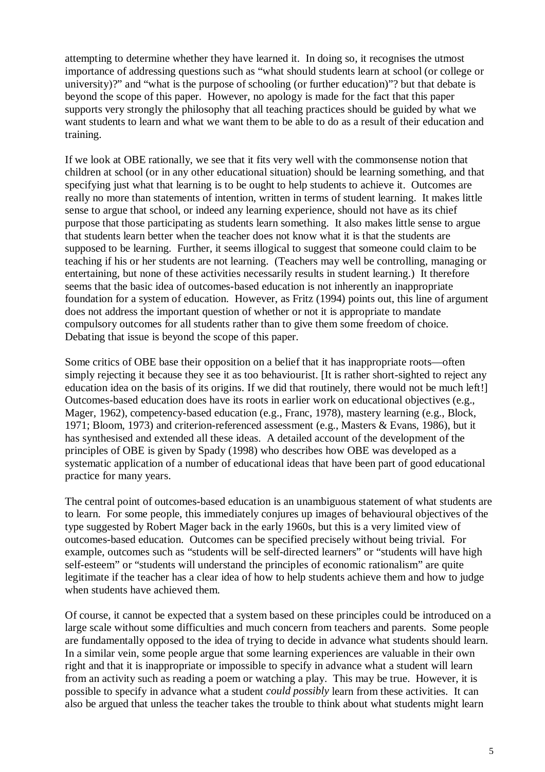attempting to determine whether they have learned it. In doing so, it recognises the utmost importance of addressing questions such as "what should students learn at school (or college or university)?" and "what is the purpose of schooling (or further education)"? but that debate is beyond the scope of this paper. However, no apology is made for the fact that this paper supports very strongly the philosophy that all teaching practices should be guided by what we want students to learn and what we want them to be able to do as a result of their education and training.

If we look at OBE rationally, we see that it fits very well with the commonsense notion that children at school (or in any other educational situation) should be learning something, and that specifying just what that learning is to be ought to help students to achieve it. Outcomes are really no more than statements of intention, written in terms of student learning. It makes little sense to argue that school, or indeed any learning experience, should not have as its chief purpose that those participating as students learn something. It also makes little sense to argue that students learn better when the teacher does not know what it is that the students are supposed to be learning. Further, it seems illogical to suggest that someone could claim to be teaching if his or her students are not learning. (Teachers may well be controlling, managing or entertaining, but none of these activities necessarily results in student learning.) It therefore seems that the basic idea of outcomes-based education is not inherently an inappropriate foundation for a system of education. However, as Fritz (1994) points out, this line of argument does not address the important question of whether or not it is appropriate to mandate compulsory outcomes for all students rather than to give them some freedom of choice. Debating that issue is beyond the scope of this paper.

Some critics of OBE base their opposition on a belief that it has inappropriate roots—often simply rejecting it because they see it as too behaviourist. [It is rather short-sighted to reject any education idea on the basis of its origins. If we did that routinely, there would not be much left!] Outcomes-based education does have its roots in earlier work on educational objectives (e.g., Mager, 1962), competency-based education (e.g., Franc, 1978), mastery learning (e.g., Block, 1971; Bloom, 1973) and criterion-referenced assessment (e.g., Masters & Evans, 1986), but it has synthesised and extended all these ideas. A detailed account of the development of the principles of OBE is given by Spady (1998) who describes how OBE was developed as a systematic application of a number of educational ideas that have been part of good educational practice for many years.

The central point of outcomes-based education is an unambiguous statement of what students are to learn. For some people, this immediately conjures up images of behavioural objectives of the type suggested by Robert Mager back in the early 1960s, but this is a very limited view of outcomes-based education. Outcomes can be specified precisely without being trivial. For example, outcomes such as "students will be self-directed learners" or "students will have high self-esteem" or "students will understand the principles of economic rationalism" are quite legitimate if the teacher has a clear idea of how to help students achieve them and how to judge when students have achieved them.

Of course, it cannot be expected that a system based on these principles could be introduced on a large scale without some difficulties and much concern from teachers and parents. Some people are fundamentally opposed to the idea of trying to decide in advance what students should learn. In a similar vein, some people argue that some learning experiences are valuable in their own right and that it is inappropriate or impossible to specify in advance what a student will learn from an activity such as reading a poem or watching a play. This may be true. However, it is possible to specify in advance what a student *could possibly* learn from these activities. It can also be argued that unless the teacher takes the trouble to think about what students might learn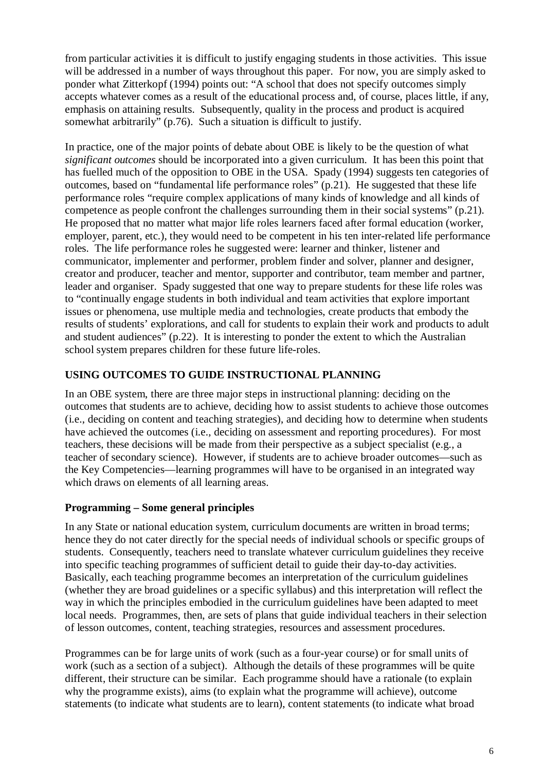from particular activities it is difficult to justify engaging students in those activities. This issue will be addressed in a number of ways throughout this paper. For now, you are simply asked to ponder what Zitterkopf (1994) points out: "A school that does not specify outcomes simply accepts whatever comes as a result of the educational process and, of course, places little, if any, emphasis on attaining results. Subsequently, quality in the process and product is acquired somewhat arbitrarily" (p.76). Such a situation is difficult to justify.

In practice, one of the major points of debate about OBE is likely to be the question of what *significant outcomes* should be incorporated into a given curriculum. It has been this point that has fuelled much of the opposition to OBE in the USA. Spady (1994) suggests ten categories of outcomes, based on "fundamental life performance roles" (p.21). He suggested that these life performance roles "require complex applications of many kinds of knowledge and all kinds of competence as people confront the challenges surrounding them in their social systems" (p.21). He proposed that no matter what major life roles learners faced after formal education (worker, employer, parent, etc.), they would need to be competent in his ten inter-related life performance roles. The life performance roles he suggested were: learner and thinker, listener and communicator, implementer and performer, problem finder and solver, planner and designer, creator and producer, teacher and mentor, supporter and contributor, team member and partner, leader and organiser. Spady suggested that one way to prepare students for these life roles was to "continually engage students in both individual and team activities that explore important issues or phenomena, use multiple media and technologies, create products that embody the results of students' explorations, and call for students to explain their work and products to adult and student audiences" (p.22). It is interesting to ponder the extent to which the Australian school system prepares children for these future life-roles.

### **USING OUTCOMES TO GUIDE INSTRUCTIONAL PLANNING**

In an OBE system, there are three major steps in instructional planning: deciding on the outcomes that students are to achieve, deciding how to assist students to achieve those outcomes (i.e., deciding on content and teaching strategies), and deciding how to determine when students have achieved the outcomes (i.e., deciding on assessment and reporting procedures). For most teachers, these decisions will be made from their perspective as a subject specialist (e.g., a teacher of secondary science). However, if students are to achieve broader outcomes—such as the Key Competencies—learning programmes will have to be organised in an integrated way which draws on elements of all learning areas.

### **Programming – Some general principles**

In any State or national education system, curriculum documents are written in broad terms; hence they do not cater directly for the special needs of individual schools or specific groups of students. Consequently, teachers need to translate whatever curriculum guidelines they receive into specific teaching programmes of sufficient detail to guide their day-to-day activities. Basically, each teaching programme becomes an interpretation of the curriculum guidelines (whether they are broad guidelines or a specific syllabus) and this interpretation will reflect the way in which the principles embodied in the curriculum guidelines have been adapted to meet local needs. Programmes, then, are sets of plans that guide individual teachers in their selection of lesson outcomes, content, teaching strategies, resources and assessment procedures.

Programmes can be for large units of work (such as a four-year course) or for small units of work (such as a section of a subject). Although the details of these programmes will be quite different, their structure can be similar. Each programme should have a rationale (to explain why the programme exists), aims (to explain what the programme will achieve), outcome statements (to indicate what students are to learn), content statements (to indicate what broad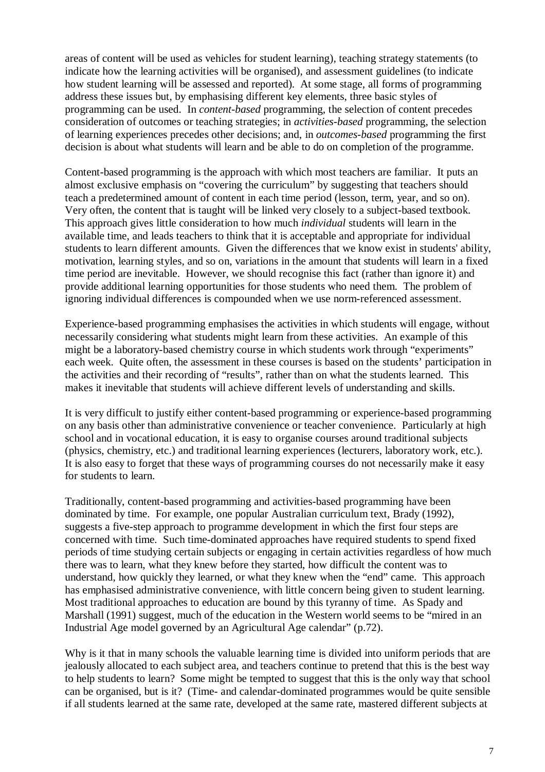areas of content will be used as vehicles for student learning), teaching strategy statements (to indicate how the learning activities will be organised), and assessment guidelines (to indicate how student learning will be assessed and reported). At some stage, all forms of programming address these issues but, by emphasising different key elements, three basic styles of programming can be used. In *content-based* programming, the selection of content precedes consideration of outcomes or teaching strategies; in *activities-based* programming, the selection of learning experiences precedes other decisions; and, in *outcomes-based* programming the first decision is about what students will learn and be able to do on completion of the programme.

Content-based programming is the approach with which most teachers are familiar. It puts an almost exclusive emphasis on "covering the curriculum" by suggesting that teachers should teach a predetermined amount of content in each time period (lesson, term, year, and so on). Very often, the content that is taught will be linked very closely to a subject-based textbook. This approach gives little consideration to how much *individual* students will learn in the available time, and leads teachers to think that it is acceptable and appropriate for individual students to learn different amounts. Given the differences that we know exist in students' ability, motivation, learning styles, and so on, variations in the amount that students will learn in a fixed time period are inevitable. However, we should recognise this fact (rather than ignore it) and provide additional learning opportunities for those students who need them. The problem of ignoring individual differences is compounded when we use norm-referenced assessment.

Experience-based programming emphasises the activities in which students will engage, without necessarily considering what students might learn from these activities. An example of this might be a laboratory-based chemistry course in which students work through "experiments" each week. Quite often, the assessment in these courses is based on the students' participation in the activities and their recording of "results", rather than on what the students learned. This makes it inevitable that students will achieve different levels of understanding and skills.

It is very difficult to justify either content-based programming or experience-based programming on any basis other than administrative convenience or teacher convenience. Particularly at high school and in vocational education, it is easy to organise courses around traditional subjects (physics, chemistry, etc.) and traditional learning experiences (lecturers, laboratory work, etc.). It is also easy to forget that these ways of programming courses do not necessarily make it easy for students to learn.

Traditionally, content-based programming and activities-based programming have been dominated by time. For example, one popular Australian curriculum text, Brady (1992), suggests a five-step approach to programme development in which the first four steps are concerned with time. Such time-dominated approaches have required students to spend fixed periods of time studying certain subjects or engaging in certain activities regardless of how much there was to learn, what they knew before they started, how difficult the content was to understand, how quickly they learned, or what they knew when the "end" came. This approach has emphasised administrative convenience, with little concern being given to student learning. Most traditional approaches to education are bound by this tyranny of time. As Spady and Marshall (1991) suggest, much of the education in the Western world seems to be "mired in an Industrial Age model governed by an Agricultural Age calendar" (p.72).

Why is it that in many schools the valuable learning time is divided into uniform periods that are jealously allocated to each subject area, and teachers continue to pretend that this is the best way to help students to learn? Some might be tempted to suggest that this is the only way that school can be organised, but is it? (Time- and calendar-dominated programmes would be quite sensible if all students learned at the same rate, developed at the same rate, mastered different subjects at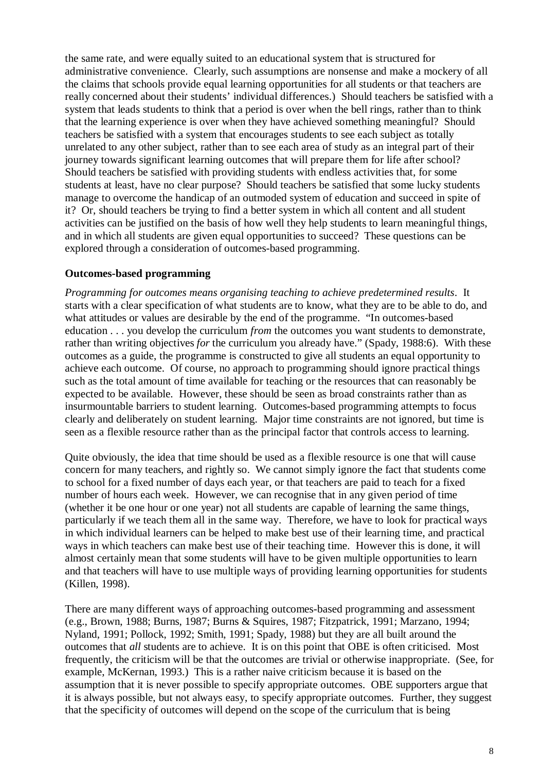the same rate, and were equally suited to an educational system that is structured for administrative convenience. Clearly, such assumptions are nonsense and make a mockery of all the claims that schools provide equal learning opportunities for all students or that teachers are really concerned about their students' individual differences.) Should teachers be satisfied with a system that leads students to think that a period is over when the bell rings, rather than to think that the learning experience is over when they have achieved something meaningful? Should teachers be satisfied with a system that encourages students to see each subject as totally unrelated to any other subject, rather than to see each area of study as an integral part of their journey towards significant learning outcomes that will prepare them for life after school? Should teachers be satisfied with providing students with endless activities that, for some students at least, have no clear purpose? Should teachers be satisfied that some lucky students manage to overcome the handicap of an outmoded system of education and succeed in spite of it? Or, should teachers be trying to find a better system in which all content and all student activities can be justified on the basis of how well they help students to learn meaningful things, and in which all students are given equal opportunities to succeed? These questions can be explored through a consideration of outcomes-based programming.

#### **Outcomes-based programming**

*Programming for outcomes means organising teaching to achieve predetermined results*. It starts with a clear specification of what students are to know, what they are to be able to do, and what attitudes or values are desirable by the end of the programme. "In outcomes-based education . . . you develop the curriculum *from* the outcomes you want students to demonstrate, rather than writing objectives *for* the curriculum you already have." (Spady, 1988:6). With these outcomes as a guide, the programme is constructed to give all students an equal opportunity to achieve each outcome. Of course, no approach to programming should ignore practical things such as the total amount of time available for teaching or the resources that can reasonably be expected to be available. However, these should be seen as broad constraints rather than as insurmountable barriers to student learning. Outcomes-based programming attempts to focus clearly and deliberately on student learning. Major time constraints are not ignored, but time is seen as a flexible resource rather than as the principal factor that controls access to learning.

Quite obviously, the idea that time should be used as a flexible resource is one that will cause concern for many teachers, and rightly so. We cannot simply ignore the fact that students come to school for a fixed number of days each year, or that teachers are paid to teach for a fixed number of hours each week. However, we can recognise that in any given period of time (whether it be one hour or one year) not all students are capable of learning the same things, particularly if we teach them all in the same way. Therefore, we have to look for practical ways in which individual learners can be helped to make best use of their learning time, and practical ways in which teachers can make best use of their teaching time. However this is done, it will almost certainly mean that some students will have to be given multiple opportunities to learn and that teachers will have to use multiple ways of providing learning opportunities for students (Killen, 1998).

There are many different ways of approaching outcomes-based programming and assessment (e.g., Brown, 1988; Burns, 1987; Burns & Squires, 1987; Fitzpatrick, 1991; Marzano, 1994; Nyland, 1991; Pollock, 1992; Smith, 1991; Spady, 1988) but they are all built around the outcomes that *all* students are to achieve. It is on this point that OBE is often criticised. Most frequently, the criticism will be that the outcomes are trivial or otherwise inappropriate. (See, for example, McKernan, 1993.) This is a rather naive criticism because it is based on the assumption that it is never possible to specify appropriate outcomes. OBE supporters argue that it is always possible, but not always easy, to specify appropriate outcomes. Further, they suggest that the specificity of outcomes will depend on the scope of the curriculum that is being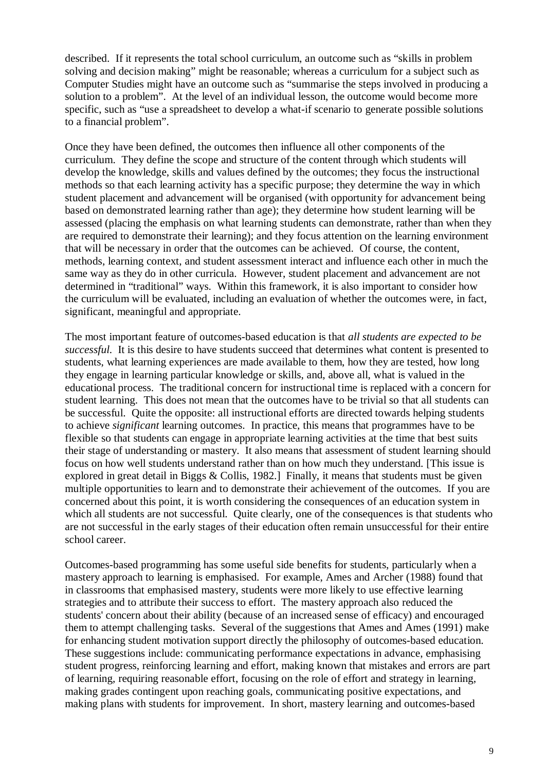described. If it represents the total school curriculum, an outcome such as "skills in problem solving and decision making" might be reasonable; whereas a curriculum for a subject such as Computer Studies might have an outcome such as "summarise the steps involved in producing a solution to a problem". At the level of an individual lesson, the outcome would become more specific, such as "use a spreadsheet to develop a what-if scenario to generate possible solutions to a financial problem".

Once they have been defined, the outcomes then influence all other components of the curriculum. They define the scope and structure of the content through which students will develop the knowledge, skills and values defined by the outcomes; they focus the instructional methods so that each learning activity has a specific purpose; they determine the way in which student placement and advancement will be organised (with opportunity for advancement being based on demonstrated learning rather than age); they determine how student learning will be assessed (placing the emphasis on what learning students can demonstrate, rather than when they are required to demonstrate their learning); and they focus attention on the learning environment that will be necessary in order that the outcomes can be achieved. Of course, the content, methods, learning context, and student assessment interact and influence each other in much the same way as they do in other curricula. However, student placement and advancement are not determined in "traditional" ways. Within this framework, it is also important to consider how the curriculum will be evaluated, including an evaluation of whether the outcomes were, in fact, significant, meaningful and appropriate.

The most important feature of outcomes-based education is that *all students are expected to be successful.* It is this desire to have students succeed that determines what content is presented to students, what learning experiences are made available to them, how they are tested, how long they engage in learning particular knowledge or skills, and, above all, what is valued in the educational process. The traditional concern for instructional time is replaced with a concern for student learning. This does not mean that the outcomes have to be trivial so that all students can be successful. Quite the opposite: all instructional efforts are directed towards helping students to achieve *significant* learning outcomes. In practice, this means that programmes have to be flexible so that students can engage in appropriate learning activities at the time that best suits their stage of understanding or mastery. It also means that assessment of student learning should focus on how well students understand rather than on how much they understand. [This issue is explored in great detail in Biggs & Collis, 1982.] Finally, it means that students must be given multiple opportunities to learn and to demonstrate their achievement of the outcomes. If you are concerned about this point, it is worth considering the consequences of an education system in which all students are not successful. Quite clearly, one of the consequences is that students who are not successful in the early stages of their education often remain unsuccessful for their entire school career.

Outcomes-based programming has some useful side benefits for students, particularly when a mastery approach to learning is emphasised. For example, Ames and Archer (1988) found that in classrooms that emphasised mastery, students were more likely to use effective learning strategies and to attribute their success to effort. The mastery approach also reduced the students' concern about their ability (because of an increased sense of efficacy) and encouraged them to attempt challenging tasks. Several of the suggestions that Ames and Ames (1991) make for enhancing student motivation support directly the philosophy of outcomes-based education. These suggestions include: communicating performance expectations in advance, emphasising student progress, reinforcing learning and effort, making known that mistakes and errors are part of learning, requiring reasonable effort, focusing on the role of effort and strategy in learning, making grades contingent upon reaching goals, communicating positive expectations, and making plans with students for improvement. In short, mastery learning and outcomes-based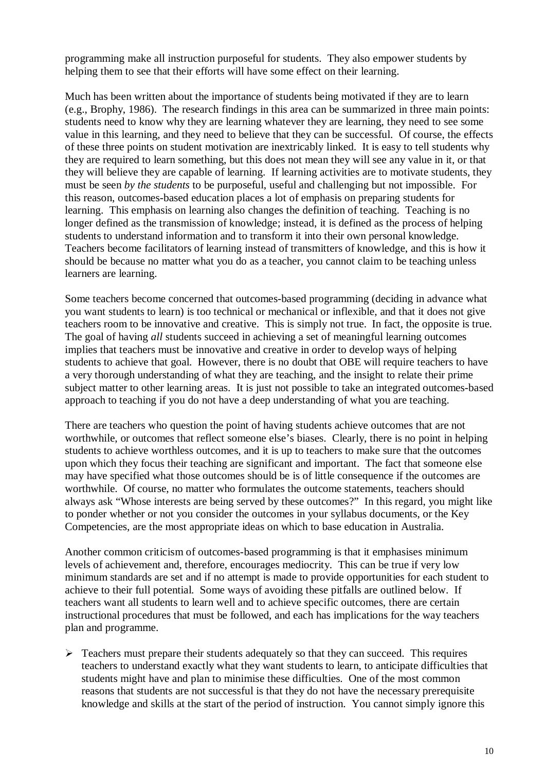programming make all instruction purposeful for students. They also empower students by helping them to see that their efforts will have some effect on their learning.

Much has been written about the importance of students being motivated if they are to learn (e.g., Brophy, 1986). The research findings in this area can be summarized in three main points: students need to know why they are learning whatever they are learning, they need to see some value in this learning, and they need to believe that they can be successful. Of course, the effects of these three points on student motivation are inextricably linked. It is easy to tell students why they are required to learn something, but this does not mean they will see any value in it, or that they will believe they are capable of learning. If learning activities are to motivate students, they must be seen *by the students* to be purposeful, useful and challenging but not impossible. For this reason, outcomes-based education places a lot of emphasis on preparing students for learning. This emphasis on learning also changes the definition of teaching. Teaching is no longer defined as the transmission of knowledge; instead, it is defined as the process of helping students to understand information and to transform it into their own personal knowledge. Teachers become facilitators of learning instead of transmitters of knowledge, and this is how it should be because no matter what you do as a teacher, you cannot claim to be teaching unless learners are learning.

Some teachers become concerned that outcomes-based programming (deciding in advance what you want students to learn) is too technical or mechanical or inflexible, and that it does not give teachers room to be innovative and creative. This is simply not true. In fact, the opposite is true. The goal of having *all* students succeed in achieving a set of meaningful learning outcomes implies that teachers must be innovative and creative in order to develop ways of helping students to achieve that goal. However, there is no doubt that OBE will require teachers to have a very thorough understanding of what they are teaching, and the insight to relate their prime subject matter to other learning areas. It is just not possible to take an integrated outcomes-based approach to teaching if you do not have a deep understanding of what you are teaching.

There are teachers who question the point of having students achieve outcomes that are not worthwhile, or outcomes that reflect someone else's biases. Clearly, there is no point in helping students to achieve worthless outcomes, and it is up to teachers to make sure that the outcomes upon which they focus their teaching are significant and important. The fact that someone else may have specified what those outcomes should be is of little consequence if the outcomes are worthwhile. Of course, no matter who formulates the outcome statements, teachers should always ask "Whose interests are being served by these outcomes?" In this regard, you might like to ponder whether or not you consider the outcomes in your syllabus documents, or the Key Competencies, are the most appropriate ideas on which to base education in Australia.

Another common criticism of outcomes-based programming is that it emphasises minimum levels of achievement and, therefore, encourages mediocrity. This can be true if very low minimum standards are set and if no attempt is made to provide opportunities for each student to achieve to their full potential. Some ways of avoiding these pitfalls are outlined below. If teachers want all students to learn well and to achieve specific outcomes, there are certain instructional procedures that must be followed, and each has implications for the way teachers plan and programme.

 $\triangleright$  Teachers must prepare their students adequately so that they can succeed. This requires teachers to understand exactly what they want students to learn, to anticipate difficulties that students might have and plan to minimise these difficulties. One of the most common reasons that students are not successful is that they do not have the necessary prerequisite knowledge and skills at the start of the period of instruction. You cannot simply ignore this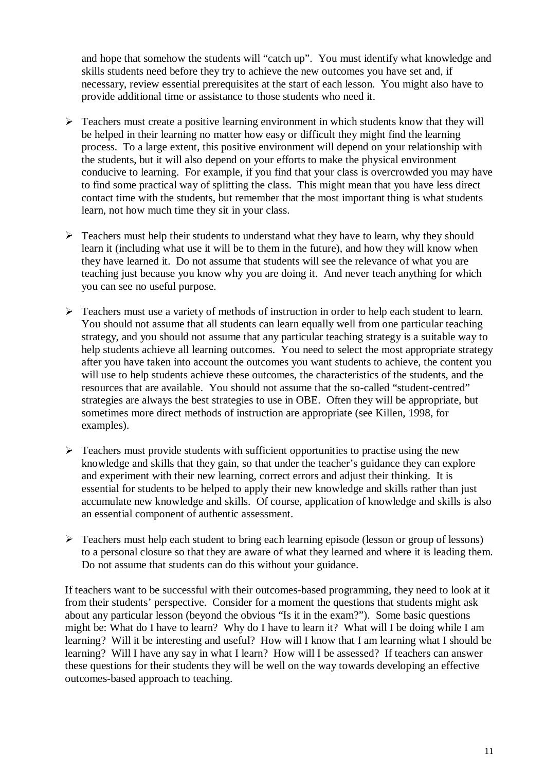and hope that somehow the students will "catch up". You must identify what knowledge and skills students need before they try to achieve the new outcomes you have set and, if necessary, review essential prerequisites at the start of each lesson. You might also have to provide additional time or assistance to those students who need it.

- $\triangleright$  Teachers must create a positive learning environment in which students know that they will be helped in their learning no matter how easy or difficult they might find the learning process. To a large extent, this positive environment will depend on your relationship with the students, but it will also depend on your efforts to make the physical environment conducive to learning. For example, if you find that your class is overcrowded you may have to find some practical way of splitting the class. This might mean that you have less direct contact time with the students, but remember that the most important thing is what students learn, not how much time they sit in your class.
- $\triangleright$  Teachers must help their students to understand what they have to learn, why they should learn it (including what use it will be to them in the future), and how they will know when they have learned it. Do not assume that students will see the relevance of what you are teaching just because you know why you are doing it. And never teach anything for which you can see no useful purpose.
- $\triangleright$  Teachers must use a variety of methods of instruction in order to help each student to learn. You should not assume that all students can learn equally well from one particular teaching strategy, and you should not assume that any particular teaching strategy is a suitable way to help students achieve all learning outcomes. You need to select the most appropriate strategy after you have taken into account the outcomes you want students to achieve, the content you will use to help students achieve these outcomes, the characteristics of the students, and the resources that are available. You should not assume that the so-called "student-centred" strategies are always the best strategies to use in OBE. Often they will be appropriate, but sometimes more direct methods of instruction are appropriate (see Killen, 1998, for examples).
- $\triangleright$  Teachers must provide students with sufficient opportunities to practise using the new knowledge and skills that they gain, so that under the teacher's guidance they can explore and experiment with their new learning, correct errors and adjust their thinking. It is essential for students to be helped to apply their new knowledge and skills rather than just accumulate new knowledge and skills. Of course, application of knowledge and skills is also an essential component of authentic assessment.
- $\triangleright$  Teachers must help each student to bring each learning episode (lesson or group of lessons) to a personal closure so that they are aware of what they learned and where it is leading them. Do not assume that students can do this without your guidance.

If teachers want to be successful with their outcomes-based programming, they need to look at it from their students' perspective. Consider for a moment the questions that students might ask about any particular lesson (beyond the obvious "Is it in the exam?"). Some basic questions might be: What do I have to learn? Why do I have to learn it? What will I be doing while I am learning? Will it be interesting and useful? How will I know that I am learning what I should be learning? Will I have any say in what I learn? How will I be assessed? If teachers can answer these questions for their students they will be well on the way towards developing an effective outcomes-based approach to teaching.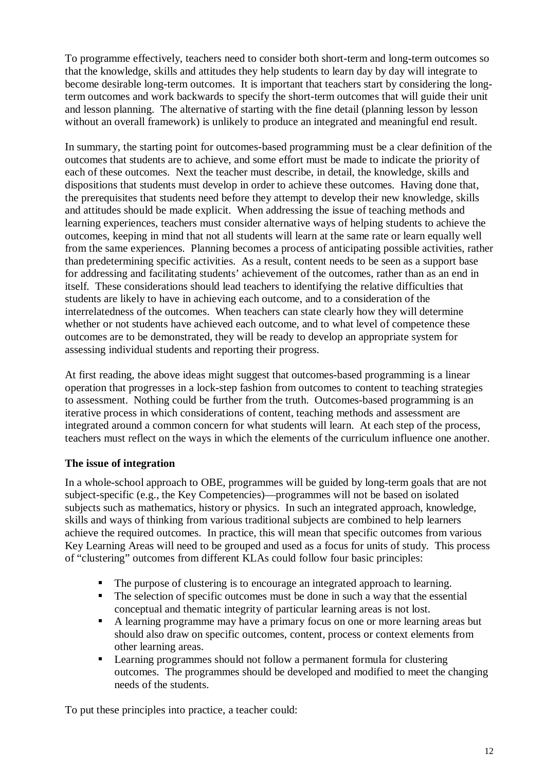To programme effectively, teachers need to consider both short-term and long-term outcomes so that the knowledge, skills and attitudes they help students to learn day by day will integrate to become desirable long-term outcomes. It is important that teachers start by considering the longterm outcomes and work backwards to specify the short-term outcomes that will guide their unit and lesson planning. The alternative of starting with the fine detail (planning lesson by lesson without an overall framework) is unlikely to produce an integrated and meaningful end result.

In summary, the starting point for outcomes-based programming must be a clear definition of the outcomes that students are to achieve, and some effort must be made to indicate the priority of each of these outcomes. Next the teacher must describe, in detail, the knowledge, skills and dispositions that students must develop in order to achieve these outcomes. Having done that, the prerequisites that students need before they attempt to develop their new knowledge, skills and attitudes should be made explicit. When addressing the issue of teaching methods and learning experiences, teachers must consider alternative ways of helping students to achieve the outcomes, keeping in mind that not all students will learn at the same rate or learn equally well from the same experiences. Planning becomes a process of anticipating possible activities, rather than predetermining specific activities. As a result, content needs to be seen as a support base for addressing and facilitating students' achievement of the outcomes, rather than as an end in itself. These considerations should lead teachers to identifying the relative difficulties that students are likely to have in achieving each outcome, and to a consideration of the interrelatedness of the outcomes. When teachers can state clearly how they will determine whether or not students have achieved each outcome, and to what level of competence these outcomes are to be demonstrated, they will be ready to develop an appropriate system for assessing individual students and reporting their progress.

At first reading, the above ideas might suggest that outcomes-based programming is a linear operation that progresses in a lock-step fashion from outcomes to content to teaching strategies to assessment. Nothing could be further from the truth. Outcomes-based programming is an iterative process in which considerations of content, teaching methods and assessment are integrated around a common concern for what students will learn. At each step of the process, teachers must reflect on the ways in which the elements of the curriculum influence one another.

### **The issue of integration**

In a whole-school approach to OBE, programmes will be guided by long-term goals that are not subject-specific (e.g., the Key Competencies)—programmes will not be based on isolated subjects such as mathematics, history or physics. In such an integrated approach, knowledge, skills and ways of thinking from various traditional subjects are combined to help learners achieve the required outcomes. In practice, this will mean that specific outcomes from various Key Learning Areas will need to be grouped and used as a focus for units of study. This process of "clustering" outcomes from different KLAs could follow four basic principles:

- The purpose of clustering is to encourage an integrated approach to learning.
- The selection of specific outcomes must be done in such a way that the essential conceptual and thematic integrity of particular learning areas is not lost.
- A learning programme may have a primary focus on one or more learning areas but should also draw on specific outcomes, content, process or context elements from other learning areas.
- Learning programmes should not follow a permanent formula for clustering outcomes. The programmes should be developed and modified to meet the changing needs of the students.

To put these principles into practice, a teacher could: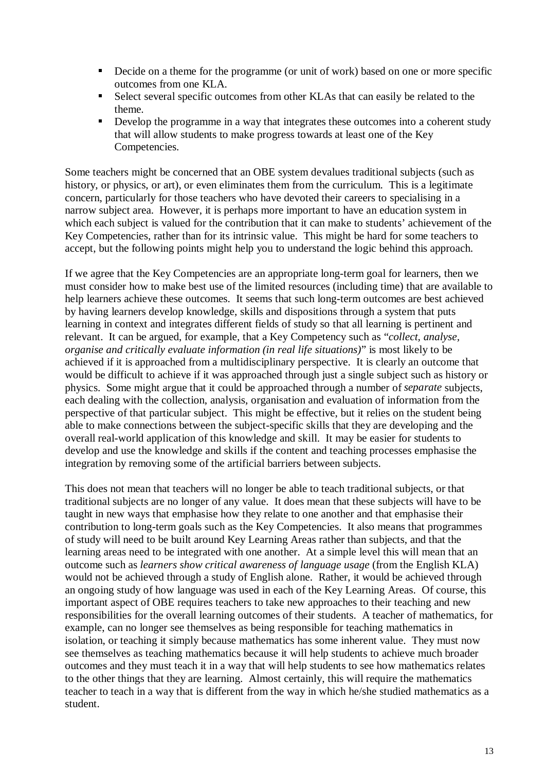- Decide on a theme for the programme (or unit of work) based on one or more specific outcomes from one KLA.
- Select several specific outcomes from other KLAs that can easily be related to the theme.
- Develop the programme in a way that integrates these outcomes into a coherent study that will allow students to make progress towards at least one of the Key Competencies.

Some teachers might be concerned that an OBE system devalues traditional subjects (such as history, or physics, or art), or even eliminates them from the curriculum. This is a legitimate concern, particularly for those teachers who have devoted their careers to specialising in a narrow subject area. However, it is perhaps more important to have an education system in which each subject is valued for the contribution that it can make to students' achievement of the Key Competencies, rather than for its intrinsic value. This might be hard for some teachers to accept, but the following points might help you to understand the logic behind this approach.

If we agree that the Key Competencies are an appropriate long-term goal for learners, then we must consider how to make best use of the limited resources (including time) that are available to help learners achieve these outcomes. It seems that such long-term outcomes are best achieved by having learners develop knowledge, skills and dispositions through a system that puts learning in context and integrates different fields of study so that all learning is pertinent and relevant. It can be argued, for example, that a Key Competency such as "*collect, analyse, organise and critically evaluate information (in real life situations)*" is most likely to be achieved if it is approached from a multidisciplinary perspective. It is clearly an outcome that would be difficult to achieve if it was approached through just a single subject such as history or physics. Some might argue that it could be approached through a number of *separate* subjects, each dealing with the collection, analysis, organisation and evaluation of information from the perspective of that particular subject. This might be effective, but it relies on the student being able to make connections between the subject-specific skills that they are developing and the overall real-world application of this knowledge and skill. It may be easier for students to develop and use the knowledge and skills if the content and teaching processes emphasise the integration by removing some of the artificial barriers between subjects.

This does not mean that teachers will no longer be able to teach traditional subjects, or that traditional subjects are no longer of any value. It does mean that these subjects will have to be taught in new ways that emphasise how they relate to one another and that emphasise their contribution to long-term goals such as the Key Competencies. It also means that programmes of study will need to be built around Key Learning Areas rather than subjects, and that the learning areas need to be integrated with one another. At a simple level this will mean that an outcome such as *learners show critical awareness of language usage* (from the English KLA) would not be achieved through a study of English alone. Rather, it would be achieved through an ongoing study of how language was used in each of the Key Learning Areas. Of course, this important aspect of OBE requires teachers to take new approaches to their teaching and new responsibilities for the overall learning outcomes of their students. A teacher of mathematics, for example, can no longer see themselves as being responsible for teaching mathematics in isolation, or teaching it simply because mathematics has some inherent value. They must now see themselves as teaching mathematics because it will help students to achieve much broader outcomes and they must teach it in a way that will help students to see how mathematics relates to the other things that they are learning. Almost certainly, this will require the mathematics teacher to teach in a way that is different from the way in which he/she studied mathematics as a student.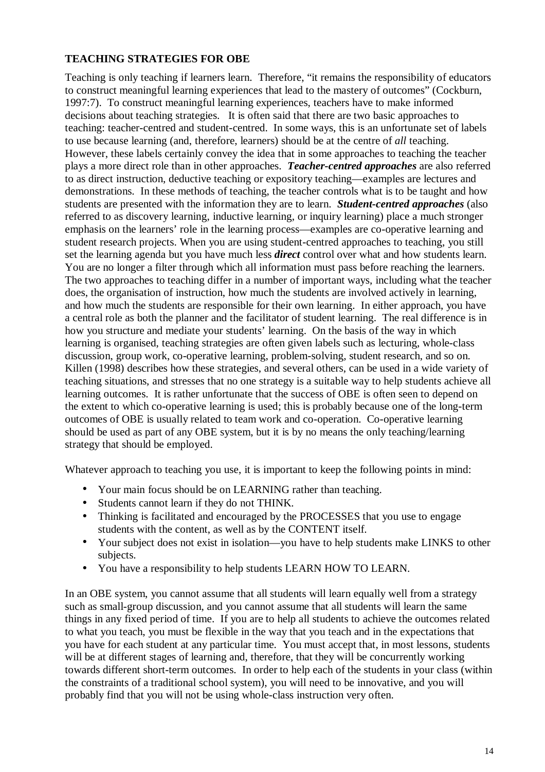#### **TEACHING STRATEGIES FOR OBE**

Teaching is only teaching if learners learn. Therefore, "it remains the responsibility of educators to construct meaningful learning experiences that lead to the mastery of outcomes" (Cockburn, 1997:7). To construct meaningful learning experiences, teachers have to make informed decisions about teaching strategies. It is often said that there are two basic approaches to teaching: teacher-centred and student-centred. In some ways, this is an unfortunate set of labels to use because learning (and, therefore, learners) should be at the centre of *all* teaching. However, these labels certainly convey the idea that in some approaches to teaching the teacher plays a more direct role than in other approaches. *Teacher-centred approaches* are also referred to as direct instruction, deductive teaching or expository teaching—examples are lectures and demonstrations. In these methods of teaching, the teacher controls what is to be taught and how students are presented with the information they are to learn. *Student-centred approaches* (also referred to as discovery learning, inductive learning, or inquiry learning) place a much stronger emphasis on the learners' role in the learning process—examples are co-operative learning and student research projects. When you are using student-centred approaches to teaching, you still set the learning agenda but you have much less *direct* control over what and how students learn. You are no longer a filter through which all information must pass before reaching the learners. The two approaches to teaching differ in a number of important ways, including what the teacher does, the organisation of instruction, how much the students are involved actively in learning, and how much the students are responsible for their own learning. In either approach, you have a central role as both the planner and the facilitator of student learning. The real difference is in how you structure and mediate your students' learning. On the basis of the way in which learning is organised, teaching strategies are often given labels such as lecturing, whole-class discussion, group work, co-operative learning, problem-solving, student research, and so on. Killen (1998) describes how these strategies, and several others, can be used in a wide variety of teaching situations, and stresses that no one strategy is a suitable way to help students achieve all learning outcomes. It is rather unfortunate that the success of OBE is often seen to depend on the extent to which co-operative learning is used; this is probably because one of the long-term outcomes of OBE is usually related to team work and co-operation. Co-operative learning should be used as part of any OBE system, but it is by no means the only teaching/learning strategy that should be employed.

Whatever approach to teaching you use, it is important to keep the following points in mind:

- Your main focus should be on LEARNING rather than teaching.
- Students cannot learn if they do not THINK.
- Thinking is facilitated and encouraged by the PROCESSES that you use to engage students with the content, as well as by the CONTENT itself.
- Your subject does not exist in isolation—you have to help students make LINKS to other subjects.
- You have a responsibility to help students LEARN HOW TO LEARN.

In an OBE system, you cannot assume that all students will learn equally well from a strategy such as small-group discussion, and you cannot assume that all students will learn the same things in any fixed period of time. If you are to help all students to achieve the outcomes related to what you teach, you must be flexible in the way that you teach and in the expectations that you have for each student at any particular time. You must accept that, in most lessons, students will be at different stages of learning and, therefore, that they will be concurrently working towards different short-term outcomes. In order to help each of the students in your class (within the constraints of a traditional school system), you will need to be innovative, and you will probably find that you will not be using whole-class instruction very often.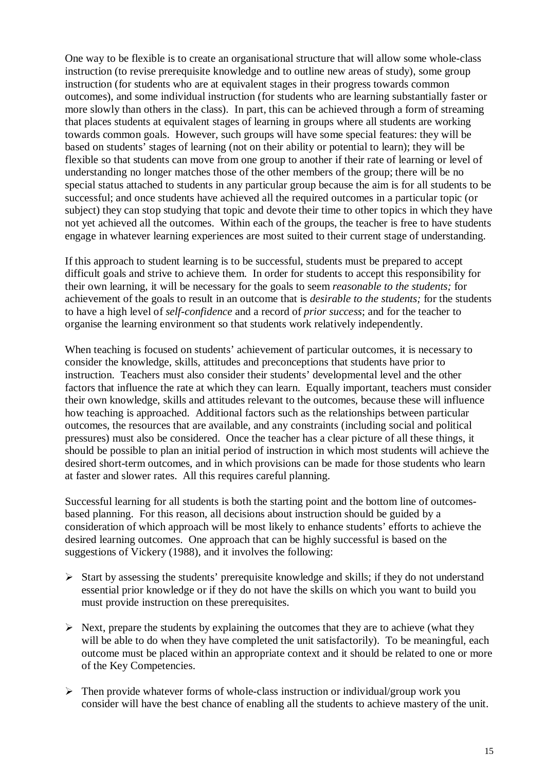One way to be flexible is to create an organisational structure that will allow some whole-class instruction (to revise prerequisite knowledge and to outline new areas of study), some group instruction (for students who are at equivalent stages in their progress towards common outcomes), and some individual instruction (for students who are learning substantially faster or more slowly than others in the class). In part, this can be achieved through a form of streaming that places students at equivalent stages of learning in groups where all students are working towards common goals. However, such groups will have some special features: they will be based on students' stages of learning (not on their ability or potential to learn); they will be flexible so that students can move from one group to another if their rate of learning or level of understanding no longer matches those of the other members of the group; there will be no special status attached to students in any particular group because the aim is for all students to be successful; and once students have achieved all the required outcomes in a particular topic (or subject) they can stop studying that topic and devote their time to other topics in which they have not yet achieved all the outcomes. Within each of the groups, the teacher is free to have students engage in whatever learning experiences are most suited to their current stage of understanding.

If this approach to student learning is to be successful, students must be prepared to accept difficult goals and strive to achieve them. In order for students to accept this responsibility for their own learning, it will be necessary for the goals to seem *reasonable to the students;* for achievement of the goals to result in an outcome that is *desirable to the students;* for the students to have a high level of *self-confidence* and a record of *prior success*; and for the teacher to organise the learning environment so that students work relatively independently.

When teaching is focused on students' achievement of particular outcomes, it is necessary to consider the knowledge, skills, attitudes and preconceptions that students have prior to instruction. Teachers must also consider their students' developmental level and the other factors that influence the rate at which they can learn. Equally important, teachers must consider their own knowledge, skills and attitudes relevant to the outcomes, because these will influence how teaching is approached. Additional factors such as the relationships between particular outcomes, the resources that are available, and any constraints (including social and political pressures) must also be considered. Once the teacher has a clear picture of all these things, it should be possible to plan an initial period of instruction in which most students will achieve the desired short-term outcomes, and in which provisions can be made for those students who learn at faster and slower rates. All this requires careful planning.

Successful learning for all students is both the starting point and the bottom line of outcomesbased planning. For this reason, all decisions about instruction should be guided by a consideration of which approach will be most likely to enhance students' efforts to achieve the desired learning outcomes. One approach that can be highly successful is based on the suggestions of Vickery (1988), and it involves the following:

- ¾ Start by assessing the students' prerequisite knowledge and skills; if they do not understand essential prior knowledge or if they do not have the skills on which you want to build you must provide instruction on these prerequisites.
- $\triangleright$  Next, prepare the students by explaining the outcomes that they are to achieve (what they will be able to do when they have completed the unit satisfactorily). To be meaningful, each outcome must be placed within an appropriate context and it should be related to one or more of the Key Competencies.
- $\triangleright$  Then provide whatever forms of whole-class instruction or individual/group work you consider will have the best chance of enabling all the students to achieve mastery of the unit.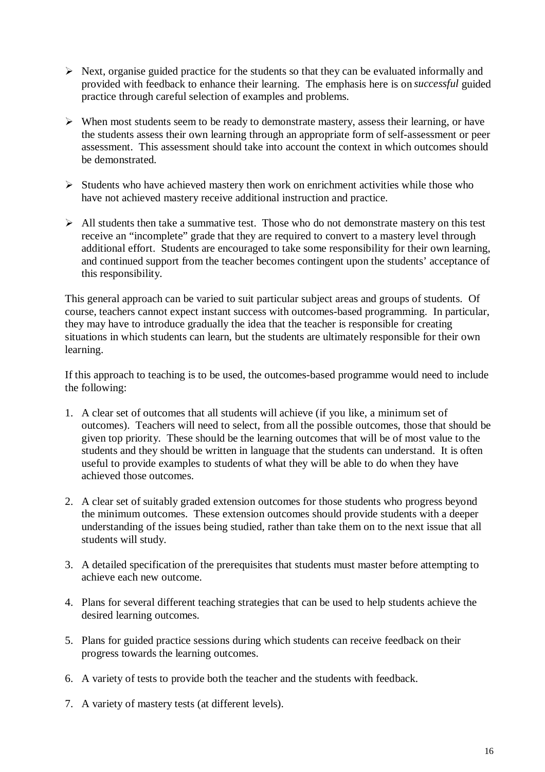- $\triangleright$  Next, organise guided practice for the students so that they can be evaluated informally and provided with feedback to enhance their learning. The emphasis here is on *successful* guided practice through careful selection of examples and problems.
- $\triangleright$  When most students seem to be ready to demonstrate mastery, assess their learning, or have the students assess their own learning through an appropriate form of self-assessment or peer assessment. This assessment should take into account the context in which outcomes should be demonstrated.
- $\triangleright$  Students who have achieved mastery then work on enrichment activities while those who have not achieved mastery receive additional instruction and practice.
- $\triangleright$  All students then take a summative test. Those who do not demonstrate mastery on this test receive an "incomplete" grade that they are required to convert to a mastery level through additional effort. Students are encouraged to take some responsibility for their own learning, and continued support from the teacher becomes contingent upon the students' acceptance of this responsibility.

This general approach can be varied to suit particular subject areas and groups of students. Of course, teachers cannot expect instant success with outcomes-based programming. In particular, they may have to introduce gradually the idea that the teacher is responsible for creating situations in which students can learn, but the students are ultimately responsible for their own learning.

If this approach to teaching is to be used, the outcomes-based programme would need to include the following:

- 1. A clear set of outcomes that all students will achieve (if you like, a minimum set of outcomes). Teachers will need to select, from all the possible outcomes, those that should be given top priority. These should be the learning outcomes that will be of most value to the students and they should be written in language that the students can understand. It is often useful to provide examples to students of what they will be able to do when they have achieved those outcomes.
- 2. A clear set of suitably graded extension outcomes for those students who progress beyond the minimum outcomes. These extension outcomes should provide students with a deeper understanding of the issues being studied, rather than take them on to the next issue that all students will study.
- 3. A detailed specification of the prerequisites that students must master before attempting to achieve each new outcome.
- 4. Plans for several different teaching strategies that can be used to help students achieve the desired learning outcomes.
- 5. Plans for guided practice sessions during which students can receive feedback on their progress towards the learning outcomes.
- 6. A variety of tests to provide both the teacher and the students with feedback.
- 7. A variety of mastery tests (at different levels).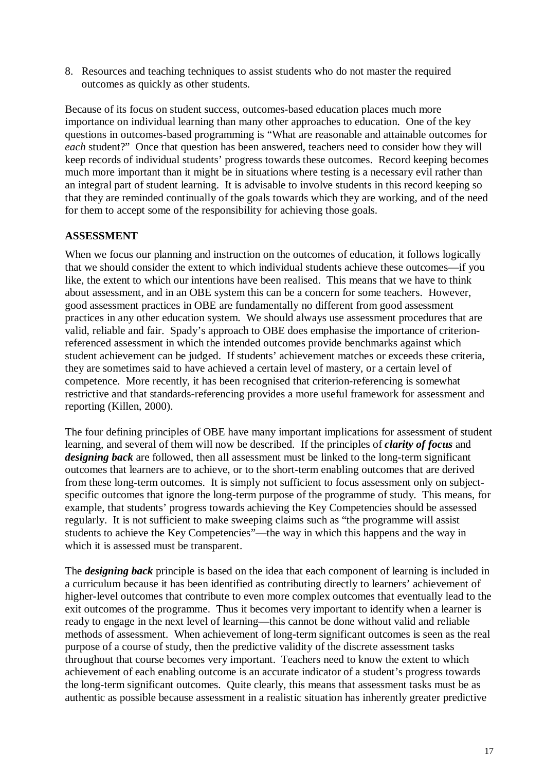8. Resources and teaching techniques to assist students who do not master the required outcomes as quickly as other students.

Because of its focus on student success, outcomes-based education places much more importance on individual learning than many other approaches to education. One of the key questions in outcomes-based programming is "What are reasonable and attainable outcomes for *each* student?" Once that question has been answered, teachers need to consider how they will keep records of individual students' progress towards these outcomes. Record keeping becomes much more important than it might be in situations where testing is a necessary evil rather than an integral part of student learning. It is advisable to involve students in this record keeping so that they are reminded continually of the goals towards which they are working, and of the need for them to accept some of the responsibility for achieving those goals.

#### **ASSESSMENT**

When we focus our planning and instruction on the outcomes of education, it follows logically that we should consider the extent to which individual students achieve these outcomes—if you like, the extent to which our intentions have been realised. This means that we have to think about assessment, and in an OBE system this can be a concern for some teachers. However, good assessment practices in OBE are fundamentally no different from good assessment practices in any other education system. We should always use assessment procedures that are valid, reliable and fair. Spady's approach to OBE does emphasise the importance of criterionreferenced assessment in which the intended outcomes provide benchmarks against which student achievement can be judged. If students' achievement matches or exceeds these criteria, they are sometimes said to have achieved a certain level of mastery, or a certain level of competence. More recently, it has been recognised that criterion-referencing is somewhat restrictive and that standards-referencing provides a more useful framework for assessment and reporting (Killen, 2000).

The four defining principles of OBE have many important implications for assessment of student learning, and several of them will now be described. If the principles of *clarity of focus* and *designing back* are followed, then all assessment must be linked to the long-term significant outcomes that learners are to achieve, or to the short-term enabling outcomes that are derived from these long-term outcomes. It is simply not sufficient to focus assessment only on subjectspecific outcomes that ignore the long-term purpose of the programme of study. This means, for example, that students' progress towards achieving the Key Competencies should be assessed regularly. It is not sufficient to make sweeping claims such as "the programme will assist students to achieve the Key Competencies"—the way in which this happens and the way in which it is assessed must be transparent.

The *designing back* principle is based on the idea that each component of learning is included in a curriculum because it has been identified as contributing directly to learners' achievement of higher-level outcomes that contribute to even more complex outcomes that eventually lead to the exit outcomes of the programme. Thus it becomes very important to identify when a learner is ready to engage in the next level of learning—this cannot be done without valid and reliable methods of assessment. When achievement of long-term significant outcomes is seen as the real purpose of a course of study, then the predictive validity of the discrete assessment tasks throughout that course becomes very important. Teachers need to know the extent to which achievement of each enabling outcome is an accurate indicator of a student's progress towards the long-term significant outcomes. Quite clearly, this means that assessment tasks must be as authentic as possible because assessment in a realistic situation has inherently greater predictive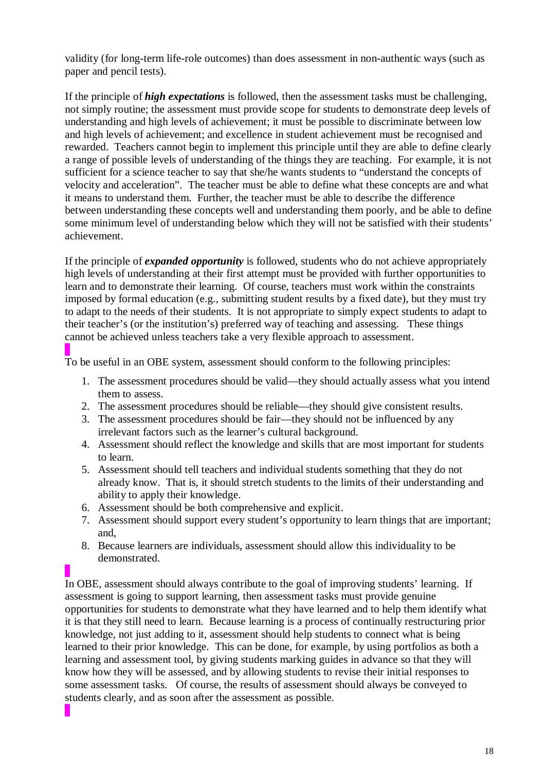validity (for long-term life-role outcomes) than does assessment in non-authentic ways (such as paper and pencil tests).

If the principle of *high expectations* is followed, then the assessment tasks must be challenging, not simply routine; the assessment must provide scope for students to demonstrate deep levels of understanding and high levels of achievement; it must be possible to discriminate between low and high levels of achievement; and excellence in student achievement must be recognised and rewarded. Teachers cannot begin to implement this principle until they are able to define clearly a range of possible levels of understanding of the things they are teaching. For example, it is not sufficient for a science teacher to say that she/he wants students to "understand the concepts of velocity and acceleration". The teacher must be able to define what these concepts are and what it means to understand them. Further, the teacher must be able to describe the difference between understanding these concepts well and understanding them poorly, and be able to define some minimum level of understanding below which they will not be satisfied with their students' achievement.

If the principle of *expanded opportunity* is followed, students who do not achieve appropriately high levels of understanding at their first attempt must be provided with further opportunities to learn and to demonstrate their learning. Of course, teachers must work within the constraints imposed by formal education (e.g., submitting student results by a fixed date), but they must try to adapt to the needs of their students. It is not appropriate to simply expect students to adapt to their teacher's (or the institution's) preferred way of teaching and assessing. These things cannot be achieved unless teachers take a very flexible approach to assessment.

To be useful in an OBE system, assessment should conform to the following principles:

- 1. The assessment procedures should be valid—they should actually assess what you intend them to assess.
- 2. The assessment procedures should be reliable—they should give consistent results.
- 3. The assessment procedures should be fair—they should not be influenced by any irrelevant factors such as the learner's cultural background.
- 4. Assessment should reflect the knowledge and skills that are most important for students to learn.
- 5. Assessment should tell teachers and individual students something that they do not already know. That is, it should stretch students to the limits of their understanding and ability to apply their knowledge.
- 6. Assessment should be both comprehensive and explicit.
- 7. Assessment should support every student's opportunity to learn things that are important; and,
- 8. Because learners are individuals, assessment should allow this individuality to be demonstrated.

In OBE, assessment should always contribute to the goal of improving students' learning. If assessment is going to support learning, then assessment tasks must provide genuine opportunities for students to demonstrate what they have learned and to help them identify what it is that they still need to learn. Because learning is a process of continually restructuring prior knowledge, not just adding to it, assessment should help students to connect what is being learned to their prior knowledge. This can be done, for example, by using portfolios as both a learning and assessment tool, by giving students marking guides in advance so that they will know how they will be assessed, and by allowing students to revise their initial responses to some assessment tasks. Of course, the results of assessment should always be conveyed to students clearly, and as soon after the assessment as possible.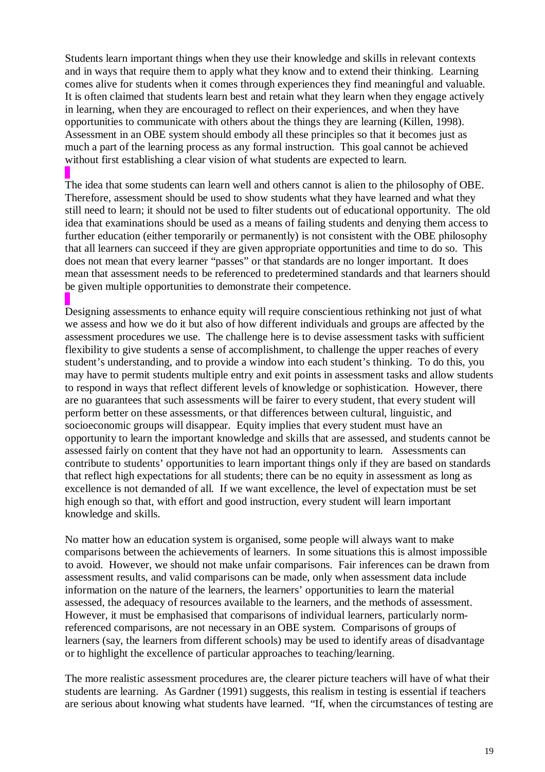Students learn important things when they use their knowledge and skills in relevant contexts and in ways that require them to apply what they know and to extend their thinking. Learning comes alive for students when it comes through experiences they find meaningful and valuable. It is often claimed that students learn best and retain what they learn when they engage actively in learning, when they are encouraged to reflect on their experiences, and when they have opportunities to communicate with others about the things they are learning (Killen, 1998). Assessment in an OBE system should embody all these principles so that it becomes just as much a part of the learning process as any formal instruction. This goal cannot be achieved without first establishing a clear vision of what students are expected to learn.

The idea that some students can learn well and others cannot is alien to the philosophy of OBE. Therefore, assessment should be used to show students what they have learned and what they still need to learn; it should not be used to filter students out of educational opportunity. The old idea that examinations should be used as a means of failing students and denying them access to further education (either temporarily or permanently) is not consistent with the OBE philosophy that all learners can succeed if they are given appropriate opportunities and time to do so. This does not mean that every learner "passes" or that standards are no longer important. It does mean that assessment needs to be referenced to predetermined standards and that learners should be given multiple opportunities to demonstrate their competence.

Designing assessments to enhance equity will require conscientious rethinking not just of what we assess and how we do it but also of how different individuals and groups are affected by the assessment procedures we use. The challenge here is to devise assessment tasks with sufficient flexibility to give students a sense of accomplishment, to challenge the upper reaches of every student's understanding, and to provide a window into each student's thinking. To do this, you may have to permit students multiple entry and exit points in assessment tasks and allow students to respond in ways that reflect different levels of knowledge or sophistication. However, there are no guarantees that such assessments will be fairer to every student, that every student will perform better on these assessments, or that differences between cultural, linguistic, and socioeconomic groups will disappear. Equity implies that every student must have an opportunity to learn the important knowledge and skills that are assessed, and students cannot be assessed fairly on content that they have not had an opportunity to learn. Assessments can contribute to students' opportunities to learn important things only if they are based on standards that reflect high expectations for all students; there can be no equity in assessment as long as excellence is not demanded of all. If we want excellence, the level of expectation must be set high enough so that, with effort and good instruction, every student will learn important knowledge and skills.

No matter how an education system is organised, some people will always want to make comparisons between the achievements of learners. In some situations this is almost impossible to avoid. However, we should not make unfair comparisons. Fair inferences can be drawn from assessment results, and valid comparisons can be made, only when assessment data include information on the nature of the learners, the learners' opportunities to learn the material assessed, the adequacy of resources available to the learners, and the methods of assessment. However, it must be emphasised that comparisons of individual learners, particularly normreferenced comparisons, are not necessary in an OBE system. Comparisons of groups of learners (say, the learners from different schools) may be used to identify areas of disadvantage or to highlight the excellence of particular approaches to teaching/learning.

The more realistic assessment procedures are, the clearer picture teachers will have of what their students are learning. As Gardner (1991) suggests, this realism in testing is essential if teachers are serious about knowing what students have learned. "If, when the circumstances of testing are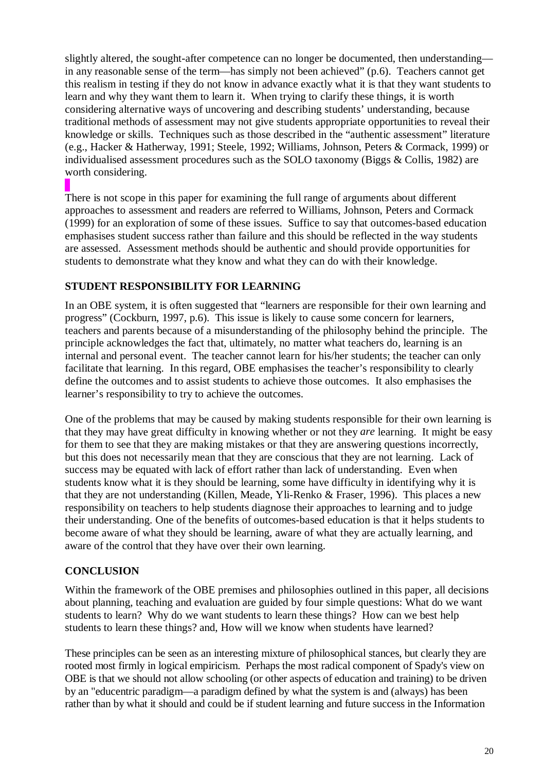slightly altered, the sought-after competence can no longer be documented, then understanding in any reasonable sense of the term—has simply not been achieved" (p.6). Teachers cannot get this realism in testing if they do not know in advance exactly what it is that they want students to learn and why they want them to learn it. When trying to clarify these things, it is worth considering alternative ways of uncovering and describing students' understanding, because traditional methods of assessment may not give students appropriate opportunities to reveal their knowledge or skills. Techniques such as those described in the "authentic assessment" literature (e.g., Hacker & Hatherway, 1991; Steele, 1992; Williams, Johnson, Peters & Cormack, 1999) or individualised assessment procedures such as the SOLO taxonomy (Biggs & Collis, 1982) are worth considering.

There is not scope in this paper for examining the full range of arguments about different approaches to assessment and readers are referred to Williams, Johnson, Peters and Cormack (1999) for an exploration of some of these issues. Suffice to say that outcomes-based education emphasises student success rather than failure and this should be reflected in the way students are assessed. Assessment methods should be authentic and should provide opportunities for students to demonstrate what they know and what they can do with their knowledge.

### **STUDENT RESPONSIBILITY FOR LEARNING**

In an OBE system, it is often suggested that "learners are responsible for their own learning and progress" (Cockburn, 1997, p.6). This issue is likely to cause some concern for learners, teachers and parents because of a misunderstanding of the philosophy behind the principle. The principle acknowledges the fact that, ultimately, no matter what teachers do, learning is an internal and personal event. The teacher cannot learn for his/her students; the teacher can only facilitate that learning. In this regard, OBE emphasises the teacher's responsibility to clearly define the outcomes and to assist students to achieve those outcomes. It also emphasises the learner's responsibility to try to achieve the outcomes.

One of the problems that may be caused by making students responsible for their own learning is that they may have great difficulty in knowing whether or not they *are* learning. It might be easy for them to see that they are making mistakes or that they are answering questions incorrectly, but this does not necessarily mean that they are conscious that they are not learning. Lack of success may be equated with lack of effort rather than lack of understanding. Even when students know what it is they should be learning, some have difficulty in identifying why it is that they are not understanding (Killen, Meade, Yli-Renko & Fraser, 1996). This places a new responsibility on teachers to help students diagnose their approaches to learning and to judge their understanding. One of the benefits of outcomes-based education is that it helps students to become aware of what they should be learning, aware of what they are actually learning, and aware of the control that they have over their own learning.

### **CONCLUSION**

Within the framework of the OBE premises and philosophies outlined in this paper, all decisions about planning, teaching and evaluation are guided by four simple questions: What do we want students to learn? Why do we want students to learn these things? How can we best help students to learn these things? and, How will we know when students have learned?

These principles can be seen as an interesting mixture of philosophical stances, but clearly they are rooted most firmly in logical empiricism. Perhaps the most radical component of Spady's view on OBE is that we should not allow schooling (or other aspects of education and training) to be driven by an "educentric paradigm—a paradigm defined by what the system is and (always) has been rather than by what it should and could be if student learning and future success in the Information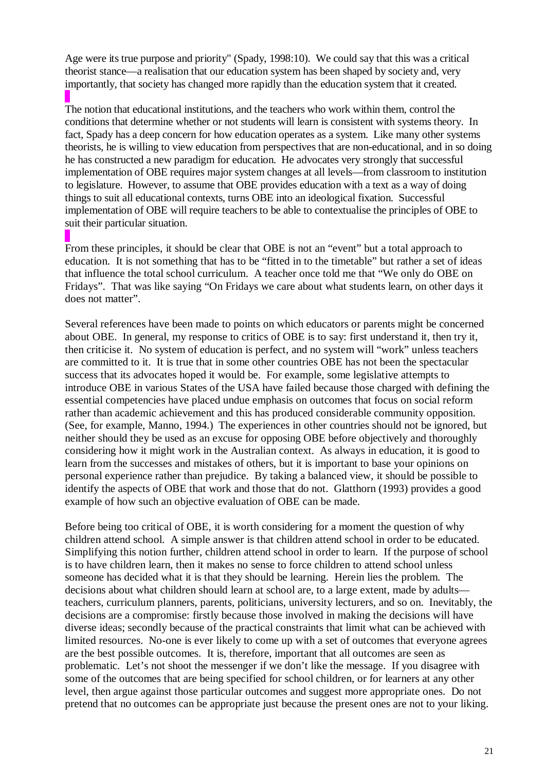Age were its true purpose and priority" (Spady, 1998:10). We could say that this was a critical theorist stance—a realisation that our education system has been shaped by society and, very importantly, that society has changed more rapidly than the education system that it created.

The notion that educational institutions, and the teachers who work within them, control the conditions that determine whether or not students will learn is consistent with systems theory. In fact, Spady has a deep concern for how education operates as a system. Like many other systems theorists, he is willing to view education from perspectives that are non-educational, and in so doing he has constructed a new paradigm for education. He advocates very strongly that successful implementation of OBE requires major system changes at all levels—from classroom to institution to legislature. However, to assume that OBE provides education with a text as a way of doing things to suit all educational contexts, turns OBE into an ideological fixation. Successful implementation of OBE will require teachers to be able to contextualise the principles of OBE to suit their particular situation.

From these principles, it should be clear that OBE is not an "event" but a total approach to education. It is not something that has to be "fitted in to the timetable" but rather a set of ideas that influence the total school curriculum. A teacher once told me that "We only do OBE on Fridays". That was like saying "On Fridays we care about what students learn, on other days it does not matter".

Several references have been made to points on which educators or parents might be concerned about OBE. In general, my response to critics of OBE is to say: first understand it, then try it, then criticise it. No system of education is perfect, and no system will "work" unless teachers are committed to it. It is true that in some other countries OBE has not been the spectacular success that its advocates hoped it would be. For example, some legislative attempts to introduce OBE in various States of the USA have failed because those charged with defining the essential competencies have placed undue emphasis on outcomes that focus on social reform rather than academic achievement and this has produced considerable community opposition. (See, for example, Manno, 1994.) The experiences in other countries should not be ignored, but neither should they be used as an excuse for opposing OBE before objectively and thoroughly considering how it might work in the Australian context. As always in education, it is good to learn from the successes and mistakes of others, but it is important to base your opinions on personal experience rather than prejudice. By taking a balanced view, it should be possible to identify the aspects of OBE that work and those that do not. Glatthorn (1993) provides a good example of how such an objective evaluation of OBE can be made.

Before being too critical of OBE, it is worth considering for a moment the question of why children attend school. A simple answer is that children attend school in order to be educated. Simplifying this notion further, children attend school in order to learn. If the purpose of school is to have children learn, then it makes no sense to force children to attend school unless someone has decided what it is that they should be learning. Herein lies the problem. The decisions about what children should learn at school are, to a large extent, made by adults teachers, curriculum planners, parents, politicians, university lecturers, and so on. Inevitably, the decisions are a compromise: firstly because those involved in making the decisions will have diverse ideas; secondly because of the practical constraints that limit what can be achieved with limited resources. No-one is ever likely to come up with a set of outcomes that everyone agrees are the best possible outcomes. It is, therefore, important that all outcomes are seen as problematic. Let's not shoot the messenger if we don't like the message. If you disagree with some of the outcomes that are being specified for school children, or for learners at any other level, then argue against those particular outcomes and suggest more appropriate ones. Do not pretend that no outcomes can be appropriate just because the present ones are not to your liking.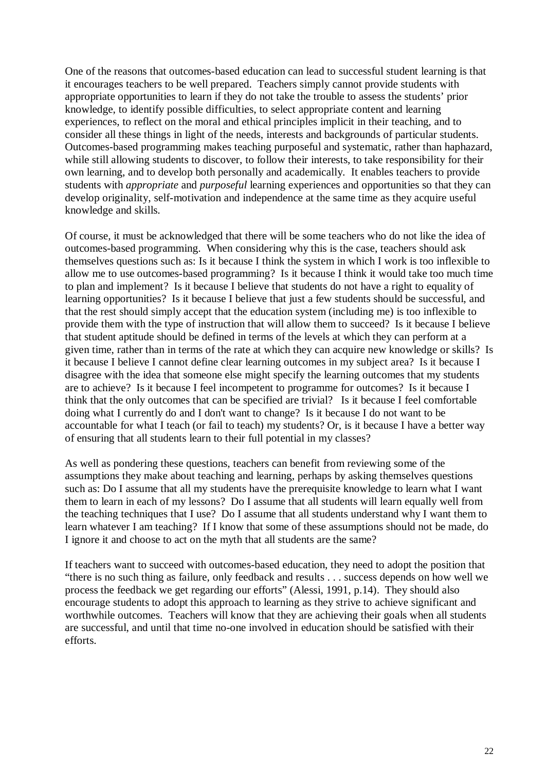One of the reasons that outcomes-based education can lead to successful student learning is that it encourages teachers to be well prepared. Teachers simply cannot provide students with appropriate opportunities to learn if they do not take the trouble to assess the students' prior knowledge, to identify possible difficulties, to select appropriate content and learning experiences, to reflect on the moral and ethical principles implicit in their teaching, and to consider all these things in light of the needs, interests and backgrounds of particular students. Outcomes-based programming makes teaching purposeful and systematic, rather than haphazard, while still allowing students to discover, to follow their interests, to take responsibility for their own learning, and to develop both personally and academically. It enables teachers to provide students with *appropriate* and *purposeful* learning experiences and opportunities so that they can develop originality, self-motivation and independence at the same time as they acquire useful knowledge and skills.

Of course, it must be acknowledged that there will be some teachers who do not like the idea of outcomes-based programming. When considering why this is the case, teachers should ask themselves questions such as: Is it because I think the system in which I work is too inflexible to allow me to use outcomes-based programming? Is it because I think it would take too much time to plan and implement? Is it because I believe that students do not have a right to equality of learning opportunities? Is it because I believe that just a few students should be successful, and that the rest should simply accept that the education system (including me) is too inflexible to provide them with the type of instruction that will allow them to succeed? Is it because I believe that student aptitude should be defined in terms of the levels at which they can perform at a given time, rather than in terms of the rate at which they can acquire new knowledge or skills? Is it because I believe I cannot define clear learning outcomes in my subject area? Is it because I disagree with the idea that someone else might specify the learning outcomes that my students are to achieve? Is it because I feel incompetent to programme for outcomes? Is it because I think that the only outcomes that can be specified are trivial? Is it because I feel comfortable doing what I currently do and I don't want to change? Is it because I do not want to be accountable for what I teach (or fail to teach) my students? Or, is it because I have a better way of ensuring that all students learn to their full potential in my classes?

As well as pondering these questions, teachers can benefit from reviewing some of the assumptions they make about teaching and learning, perhaps by asking themselves questions such as: Do I assume that all my students have the prerequisite knowledge to learn what I want them to learn in each of my lessons? Do I assume that all students will learn equally well from the teaching techniques that I use? Do I assume that all students understand why I want them to learn whatever I am teaching? If I know that some of these assumptions should not be made, do I ignore it and choose to act on the myth that all students are the same?

If teachers want to succeed with outcomes-based education, they need to adopt the position that "there is no such thing as failure, only feedback and results . . . success depends on how well we process the feedback we get regarding our efforts" (Alessi, 1991, p.14). They should also encourage students to adopt this approach to learning as they strive to achieve significant and worthwhile outcomes. Teachers will know that they are achieving their goals when all students are successful, and until that time no-one involved in education should be satisfied with their efforts.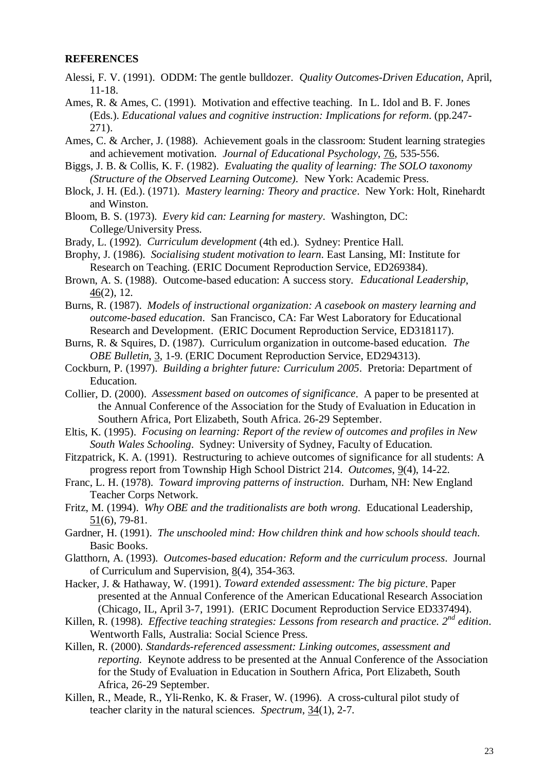#### **REFERENCES**

- Alessi, F. V. (1991). ODDM: The gentle bulldozer. *Quality Outcomes-Driven Education*, April, 11-18.
- Ames, R. & Ames, C. (1991). Motivation and effective teaching. In L. Idol and B. F. Jones (Eds.). *Educational values and cognitive instruction: Implications for reform*. (pp.247- 271).
- Ames, C. & Archer, J. (1988). Achievement goals in the classroom: Student learning strategies and achievement motivation. *Journal of Educational Psychology*, 76, 535-556.
- Biggs, J. B. & Collis, K. F. (1982). *Evaluating the quality of learning: The SOLO taxonomy (Structure of the Observed Learning Outcome).* New York: Academic Press.
- Block, J. H. (Ed.). (1971). *Mastery learning: Theory and practice*. New York: Holt, Rinehardt and Winston.
- Bloom, B. S. (1973). *Every kid can: Learning for mastery*. Washington, DC: College/University Press.
- Brady, L. (1992). *Curriculum development* (4th ed.). Sydney: Prentice Hall.
- Brophy, J. (1986). *Socialising student motivation to learn*. East Lansing, MI: Institute for Research on Teaching. (ERIC Document Reproduction Service, ED269384).
- Brown, A. S. (1988). Outcome-based education: A success story. *Educational Leadership*, 46(2), 12.
- Burns, R. (1987). *Models of instructional organization: A casebook on mastery learning and outcome-based education*. San Francisco, CA: Far West Laboratory for Educational Research and Development. (ERIC Document Reproduction Service, ED318117).
- Burns, R. & Squires, D. (1987). Curriculum organization in outcome-based education. *The OBE Bulletin*, 3, 1-9. (ERIC Document Reproduction Service, ED294313).
- Cockburn, P. (1997). *Building a brighter future: Curriculum 2005*. Pretoria: Department of Education.
- Collier, D. (2000). *Assessment based on outcomes of significance*. A paper to be presented at the Annual Conference of the Association for the Study of Evaluation in Education in Southern Africa, Port Elizabeth, South Africa. 26-29 September.
- Eltis, K. (1995). *Focusing on learning: Report of the review of outcomes and profiles in New South Wales Schooling*. Sydney: University of Sydney, Faculty of Education.
- Fitzpatrick, K. A. (1991). Restructuring to achieve outcomes of significance for all students: A progress report from Township High School District 214. *Outcomes*, 9(4), 14-22.
- Franc, L. H. (1978). *Toward improving patterns of instruction*. Durham, NH: New England Teacher Corps Network.
- Fritz, M. (1994). *Why OBE and the traditionalists are both wrong*. Educational Leadership, 51(6), 79-81.
- Gardner, H. (1991). *The unschooled mind: How children think and how schools should teach*. Basic Books.
- Glatthorn, A. (1993). *Outcomes-based education: Reform and the curriculum process*. Journal of Curriculum and Supervision, 8(4), 354-363.
- Hacker, J. & Hathaway, W. (1991). *Toward extended assessment: The big picture*. Paper presented at the Annual Conference of the American Educational Research Association (Chicago, IL, April 3-7, 1991). (ERIC Document Reproduction Service ED337494).
- Killen, R. (1998). *Effective teaching strategies: Lessons from research and practice. 2nd edition*. Wentworth Falls, Australia: Social Science Press.

Killen, R. (2000). *Standards-referenced assessment: Linking outcomes, assessment and reporting.* Keynote address to be presented at the Annual Conference of the Association for the Study of Evaluation in Education in Southern Africa, Port Elizabeth, South Africa, 26-29 September.

Killen, R., Meade, R., Yli-Renko, K. & Fraser, W. (1996). A cross-cultural pilot study of teacher clarity in the natural sciences. *Spectrum*, 34(1), 2-7.